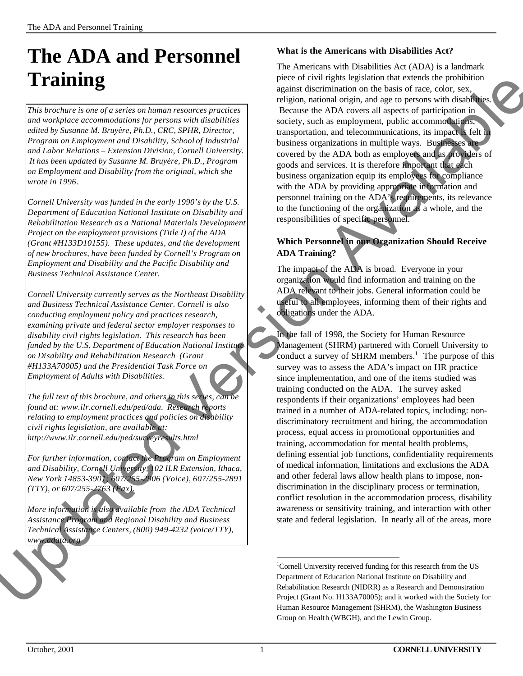# **The ADA and Personnel Training**

*This brochure is one of a series on human resources practices and workplace accommodations for persons with disabilities edited by Susanne M. Bruyère, Ph.D., CRC, SPHR, Director, Program on Employment and Disability, School of Industrial and Labor Relations – Extension Division, Cornell University. It has been updated by Susanne M. Bruyère, Ph.D., Program on Employment and Disability from the original, which she wrote in 1996.*

*Cornell University was funded in the early 1990's by the U.S. Department of Education National Institute on Disability and Rehabilitation Research as a National Materials Development Project on the employment provisions (Title I) of the ADA (Grant #H133D10155). These updates, and the development of new brochures, have been funded by Cornell's Program on Employment and Disability and the Pacific Disability and Business Technical Assistance Center.*

*Cornell University currently serves as the Northeast Disability and Business Technical Assistance Center. Cornell is also conducting employment policy and practices research, examining private and federal sector employer responses to disability civil rights legislation. This research has been funded by the U.S. Department of Education National Institute on Disability and Rehabilitation Research (Grant #H133A70005) and the Presidential Task Force on Employment of Adults with Disabilities.* 

*The full text of this brochure, and others in this series, can be found at: www.ilr.cornell.edu/ped/ada. Research reports relating to employment practices and policies on disability civil rights legislation, are available at: http://www.ilr.cornell.edu/ped/surveyresults.html*

*For further information, contact the Program on Employment and Disability, Cornell University, 102 ILR Extension, Ithaca, New York 14853-3901; 607/255-2906 (Voice), 607/255-2891 (TTY), or 607/255-2763 (Fax).* relating to employment practices and policies on a<br>civil rights legislation, are available at:<br>http://www.ilr.cornell.edu/ped/surveyresults.html<br>For further information, contact, the Program on E<br>and Disability, Cornell Un

*More information is also available from the ADA Technical Assistance Program and Regional Disability and Business Technical Assistance Centers, (800) 949-4232 (voice/TTY), www.adata.org*

# **What is the Americans with Disabilities Act?**

The Americans with Disabilities Act (ADA) is a landmark piece of civil rights legislation that extends the prohibition against discrimination on the basis of race, color, sex, religion, national origin, and age to persons with disabilities. Because the ADA covers all aspects of participation in society, such as employment, public accommodations, transportation, and telecommunications, its impact is felt in business organizations in multiple ways. Businesses are covered by the ADA both as employers and as providers of goods and services. It is therefore important that each business organization equip its employees for compliance with the ADA by providing appropriate information and personnel training on the ADA's requirements, its relevance to the functioning of the organization as a whole, and the responsibilities of specific personnel. streament and the proposition and the extent of the street of the street of the street of the street of the street of the street of the street of the street of the street of the street of the street of the street of the st

# **Which Personnel in our Organization Should Receive ADA Training?**

The impact of the ADA is broad. Everyone in your organization would find information and training on the ADA relevant to their jobs. General information could be useful to all employees, informing them of their rights and obligations under the ADA.

In the fall of 1998, the Society for Human Resource Management (SHRM) partnered with Cornell University to conduct a survey of SHRM members.<sup>1</sup> The purpose of this survey was to assess the ADA's impact on HR practice since implementation, and one of the items studied was training conducted on the ADA. The survey asked respondents if their organizations' employees had been trained in a number of ADA-related topics, including: nondiscriminatory recruitment and hiring, the accommodation process, equal access in promotional opportunities and training, accommodation for mental health problems, defining essential job functions, confidentiality requirements of medical information, limitations and exclusions the ADA and other federal laws allow health plans to impose, nondiscrimination in the disciplinary process or termination, conflict resolution in the accommodation process, disability awareness or sensitivity training, and interaction with other state and federal legislation. In nearly all of the areas, more

l

<sup>&</sup>lt;sup>1</sup>Cornell University received funding for this research from the US Department of Education National Institute on Disability and Rehabilitation Research (NIDRR) as a Research and Demonstration Project (Grant No. H133A70005); and it worked with the Society for Human Resource Management (SHRM), the Washington Business Group on Health (WBGH), and the Lewin Group.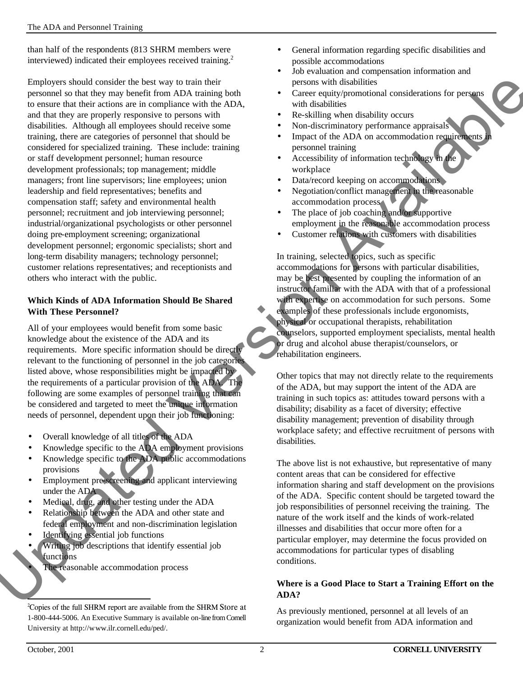than half of the respondents (813 SHRM members were interviewed) indicated their employees received training.<sup>2</sup>

Employers should consider the best way to train their personnel so that they may benefit from ADA training both to ensure that their actions are in compliance with the ADA, and that they are properly responsive to persons with disabilities. Although all employees should receive some training, there are categories of personnel that should be considered for specialized training. These include: training or staff development personnel; human resource development professionals; top management; middle managers; front line supervisors; line employees; union leadership and field representatives; benefits and compensation staff; safety and environmental health personnel; recruitment and job interviewing personnel; industrial/organizational psychologists or other personnel doing pre-employment screening; organizational development personnel; ergonomic specialists; short and long-term disability managers; technology personnel; customer relations representatives; and receptionists and others who interact with the public.

#### **Which Kinds of ADA Information Should Be Shared With These Personnel?**

All of your employees would benefit from some basic knowledge about the existence of the ADA and its requirements. More specific information should be directly relevant to the functioning of personnel in the job categories listed above, whose responsibilities might be impacted by the requirements of a particular provision of the ADA. The following are some examples of personnel training that can be considered and targeted to meet the unique information needs of personnel, dependent upon their job functioning:

- Overall knowledge of all titles of the ADA
- Knowledge specific to the ADA employment provisions
- Knowledge specific to the ADA public accommodations provisions
- Employment pre-screening and applicant interviewing under the ADA
- Medical, drug, and other testing under the ADA
- Relationship between the ADA and other state and federal employment and non-discrimination legislation Overall knowledge of all titles of the ADA<br>
• Overall knowledge of all titles of the ADA<br>
• Knowledge specific to the ADA employmen<br>
• Knowledge specific to the ADA public acco<br>
provisions<br>
• Employment pre-screening and a
	- Identifying essential job functions
	- Writing job descriptions that identify essential job functions

The reasonable accommodation process

- General information regarding specific disabilities and possible accommodations
- Job evaluation and compensation information and persons with disabilities
- Career equity/promotional considerations for persons with disabilities
- Re-skilling when disability occurs
- Non-discriminatory performance appraisals
- Impact of the ADA on accommodation requirements in personnel training
- Accessibility of information technology in the workplace
- Data/record keeping on accommodations
- Negotiation/conflict management in the reasonable accommodation process
- The place of job coaching and/or supportive employment in the reasonable accommodation process
- Customer relations with customers with disabilities

In training, selected topics, such as specific accommodations for persons with particular disabilities, may be best presented by coupling the information of an instructor familiar with the ADA with that of a professional with expertise on accommodation for such persons. Some examples of these professionals include ergonomists, physical or occupational therapists, rehabilitation counselors, supported employment specialists, mental health or drug and alcohol abuse therapist/counselors, or rehabilitation engineers. Available and the training of the ADA and the sect of the sect of distribution of the and the section of the ADA and the section of the ADA and the section of the ADA and the section of the ADA and the section of the ADA a

Other topics that may not directly relate to the requirements of the ADA, but may support the intent of the ADA are training in such topics as: attitudes toward persons with a disability; disability as a facet of diversity; effective disability management; prevention of disability through workplace safety; and effective recruitment of persons with disabilities.

The above list is not exhaustive, but representative of many content areas that can be considered for effective information sharing and staff development on the provisions of the ADA. Specific content should be targeted toward the job responsibilities of personnel receiving the training. The nature of the work itself and the kinds of work-related illnesses and disabilities that occur more often for a particular employer, may determine the focus provided on accommodations for particular types of disabling conditions.

## **Where is a Good Place to Start a Training Effort on the ADA?**

As previously mentioned, personnel at all levels of an organization would benefit from ADA information and

l <sup>2</sup>Copies of the full SHRM report are available from the SHRM Store at 1-800-444-5006. An Executive Summary is available on-line from Cornell University at http://www.ilr.cornell.edu/ped/.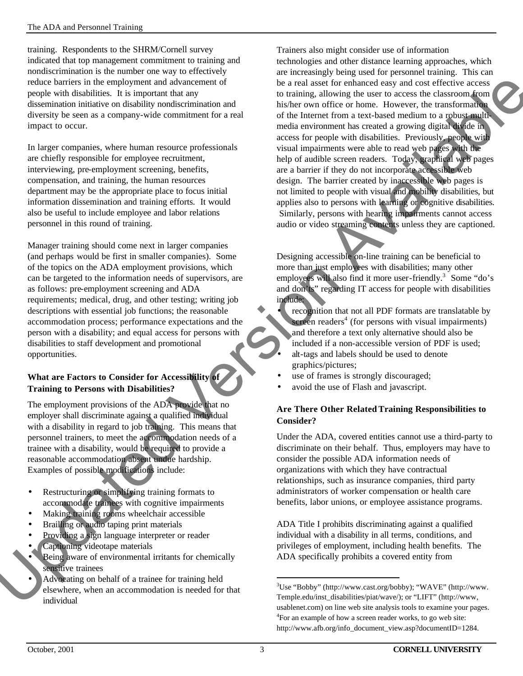training. Respondents to the SHRM/Cornell survey indicated that top management commitment to training and nondiscrimination is the number one way to effectively reduce barriers in the employment and advancement of people with disabilities. It is important that any dissemination initiative on disability nondiscrimination and diversity be seen as a company-wide commitment for a real impact to occur.

In larger companies, where human resource professionals are chiefly responsible for employee recruitment, interviewing, pre-employment screening, benefits, compensation, and training, the human resources department may be the appropriate place to focus initial information dissemination and training efforts. It would also be useful to include employee and labor relations personnel in this round of training.

Manager training should come next in larger companies (and perhaps would be first in smaller companies). Some of the topics on the ADA employment provisions, which can be targeted to the information needs of supervisors, are as follows: pre-employment screening and ADA requirements; medical, drug, and other testing; writing job descriptions with essential job functions; the reasonable accommodation process; performance expectations and the person with a disability; and equal access for persons with disabilities to staff development and promotional opportunities.

## **What are Factors to Consider for Accessibility of Training to Persons with Disabilities?**

The employment provisions of the ADA provide that no employer shall discriminate against a qualified individual with a disability in regard to job training. This means that personnel trainers, to meet the accommodation needs of a trainee with a disability, would be required to provide a reasonable accommodation absent undue hardship. Examples of possible modifications include: The distribution of the accommodation is needed to the accommodation of training. This represonnel trainers, to meet the accommodation is trainer with a disability, would be required to propressionable accommodation absent

- Restructuring or simplifying training formats to accommodate trainees with cognitive impairments
- Making training rooms wheelchair accessible
- Brailling or audio taping print materials
- Providing a sign language interpreter or reader
- Captioning videotape materials
- Being aware of environmental irritants for chemically sensitive trainees
- Advocating on behalf of a trainee for training held elsewhere, when an accommodation is needed for that individual

Trainers also might consider use of information technologies and other distance learning approaches, which are increasingly being used for personnel training. This can be a real asset for enhanced easy and cost effective access to training, allowing the user to access the classroom from his/her own office or home. However, the transformation of the Internet from a text-based medium to a robust multimedia environment has created a growing digital divide in access for people with disabilities. Previously, people with visual impairments were able to read web pages with the help of audible screen readers. Today, graphical web pages are a barrier if they do not incorporate accessible web design. The barrier created by inaccessible web pages is not limited to people with visual and mobility disabilities, but applies also to persons with learning or cognitive disabilities. Similarly, persons with hearing impairments cannot access audio or video streaming contents unless they are captioned. In advancement of<br>
the areal asset for enhanced easy and cost effective access<br>
the distribution and<br>
this the proton office or home. However, the thansformation<br>
committener for a real of the Internet from a text-bused me

Designing accessible on-line training can be beneficial to more than just employees with disabilities; many other employees will also find it more user-friendly.<sup>3</sup> Some "do's and don'ts" regarding IT access for people with disabilities include:

recognition that not all PDF formats are translatable by screen readers<sup>4</sup> (for persons with visual impairments) and therefore a text only alternative should also be included if a non-accessible version of PDF is used; • alt-tags and labels should be used to denote graphics/pictures;

- use of frames is strongly discouraged;
- avoid the use of Flash and javascript.

## **Are There Other Related Training Responsibilities to Consider?**

Under the ADA, covered entities cannot use a third-party to discriminate on their behalf. Thus, employers may have to consider the possible ADA information needs of organizations with which they have contractual relationships, such as insurance companies, third party administrators of worker compensation or health care benefits, labor unions, or employee assistance programs.

ADA Title I prohibits discriminating against a qualified individual with a disability in all terms, conditions, and privileges of employment, including health benefits. The ADA specifically prohibits a covered entity from

l

<sup>3</sup>Use "Bobby" (http://www.cast.org/bobby); "WAVE" (http://www. Temple.edu/inst\_disabilities/piat/wave/); or "LIFT" (http://www, usablenet.com) on line web site analysis tools to examine your pages. <sup>4</sup>For an example of how a screen reader works, to go web site: http://www.afb.org/info\_document\_view.asp?documentID=1284.